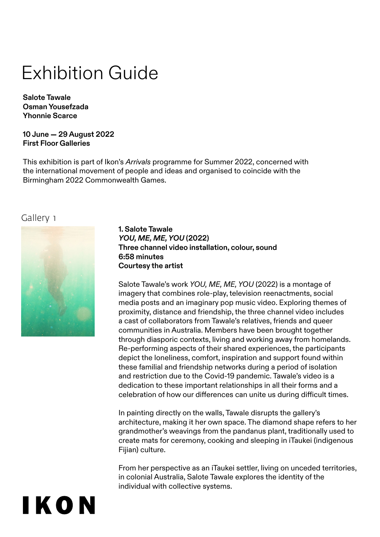# Exhibition Guide

**Salote Tawale Osman Yousefzada Yhonnie Scarce**

**10 June — 29 August 2022 First Floor Galleries**

This exhibition is part of Ikon's *Arrivals* programme for Summer 2022, concerned with the international movement of people and ideas and organised to coincide with the Birmingham 2022 Commonwealth Games.

#### Gallery 1



IKON

**1. Salote Tawale**  *YOU, ME, ME, YOU* **(2022) Three channel video installation, colour, sound 6:58 minutes Courtesy the artist**

Salote Tawale's work *YOU, ME, ME, YOU* (2022) is a montage of imagery that combines role-play, television reenactments, social media posts and an imaginary pop music video. Exploring themes of proximity, distance and friendship, the three channel video includes a cast of collaborators from Tawale's relatives, friends and queer communities in Australia. Members have been brought together through diasporic contexts, living and working away from homelands. Re-performing aspects of their shared experiences, the participants depict the loneliness, comfort, inspiration and support found within these familial and friendship networks during a period of isolation and restriction due to the Covid-19 pandemic. Tawale's video is a dedication to these important relationships in all their forms and a celebration of how our differences can unite us during difficult times.

In painting directly on the walls, Tawale disrupts the gallery's architecture, making it her own space. The diamond shape refers to her grandmother's weavings from the pandanus plant, traditionally used to create mats for ceremony, cooking and sleeping in iTaukei (indigenous Fijian) culture.

From her perspective as an iTaukei settler, living on unceded territories, in colonial Australia, Salote Tawale explores the identity of the individual with collective systems.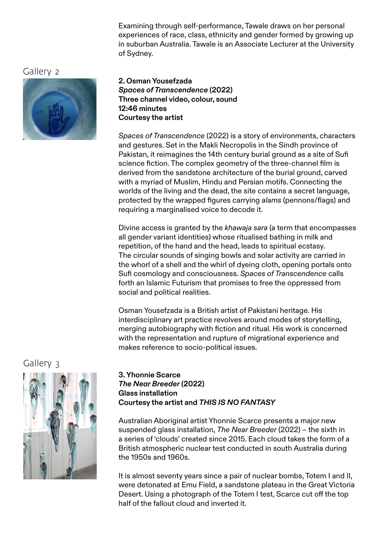Examining through self-performance, Tawale draws on her personal experiences of race, class, ethnicity and gender formed by growing up in suburban Australia. Tawale is an Associate Lecturer at the University of Sydney.

Gallery 2



#### **2. Osman Yousefzada** *Spaces of Transcendence* **(2022) Three channel video, colour, sound 12:46 minutes Courtesy the artist**

*Spaces of Transcendence* (2022) is a story of environments, characters and gestures. Set in the Makli Necropolis in the Sindh province of Pakistan, it reimagines the 14th century burial ground as a site of Sufi science fiction. The complex geometry of the three-channel film is derived from the sandstone architecture of the burial ground, carved with a myriad of Muslim, Hindu and Persian motifs. Connecting the worlds of the living and the dead, the site contains a secret language, protected by the wrapped figures carrying *alams* (pennons/flags) and requiring a marginalised voice to decode it.

Divine access is granted by the *khawaja sara* (a term that encompasses all gender variant identities) whose ritualised bathing in milk and repetition, of the hand and the head, leads to spiritual ecstasy. The circular sounds of singing bowls and solar activity are carried in the whorl of a shell and the whirl of dyeing cloth, opening portals onto Sufi cosmology and consciousness. *Spaces of Transcendence* calls forth an Islamic Futurism that promises to free the oppressed from social and political realities.

Osman Yousefzada is a British artist of Pakistani heritage. His interdisciplinary art practice revolves around modes of storytelling, merging autobiography with fiction and ritual. His work is concerned with the representation and rupture of migrational experience and makes reference to socio-political issues.

Gallery 3



#### **3. Yhonnie Scarce**  *The Near Breeder* **(2022) Glass installation Courtesy the artist and** *THIS IS NO FANTASY*

Australian Aboriginal artist Yhonnie Scarce presents a major new suspended glass installation, *The Near Breeder* (2022) – the sixth in a series of 'clouds' created since 2015. Each cloud takes the form of a British atmospheric nuclear test conducted in south Australia during the 1950s and 1960s.

It is almost seventy years since a pair of nuclear bombs, Totem I and II, were detonated at Emu Field, a sandstone plateau in the Great Victoria Desert. Using a photograph of the Totem I test, Scarce cut off the top half of the fallout cloud and inverted it.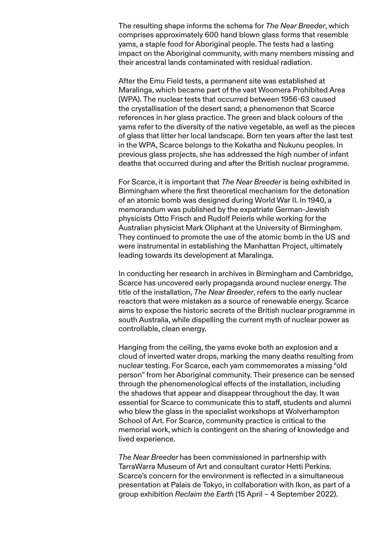The resulting shape informs the schema for *The Near Breeder*, which comprises approximately 600 hand blown glass forms that resemble yams, a staple food for Aboriginal people. The tests had a lasting impact on the Aboriginal community, with many members missing and their ancestral lands contaminated with residual radiation.

After the Emu Field tests, a permanent site was established at Maralinga, which became part of the vast Woomera Prohibited Area (WPA). The nuclear tests that occurred between 1956-63 caused the crystallisation of the desert sand; a phenomenon that Scarce references in her glass practice. The green and black colours of the yams refer to the diversity of the native vegetable, as well as the pieces of glass that litter her local landscape. Born ten years after the last test in the WPA, Scarce belongs to the Kokatha and Nukunu peoples. In previous glass projects, she has addressed the high number of infant deaths that occurred during and after the British nuclear programme.

For Scarce, it is important that *The Near Breeder* is being exhibited in Birmingham where the first theoretical mechanism for the detonation of an atomic bomb was designed during World War II. In 1940, a memorandum was published by the expatriate German-Jewish physicists Otto Frisch and Rudolf Peierls while working for the Australian physicist Mark Oliphant at the University of Birmingham. They continued to promote the use of the atomic bomb in the US and were instrumental in establishing the Manhattan Project, ultimately leading towards its development at Maralinga.

In conducting her research in archives in Birmingham and Cambridge, Scarce has uncovered early propaganda around nuclear energy. The title of the installation, *The Near Breeder*, refers to the early nuclear reactors that were mistaken as a source of renewable energy. Scarce aims to expose the historic secrets of the British nuclear programme in south Australia, while dispelling the current myth of nuclear power as controllable, clean energy.

Hanging from the ceiling, the yams evoke both an explosion and a cloud of inverted water drops, marking the many deaths resulting from nuclear testing. For Scarce, each yam commemorates a missing "old person" from her Aboriginal community. Their presence can be sensed through the phenomenological effects of the installation, including the shadows that appear and disappear throughout the day. It was essential for Scarce to communicate this to staff, students and alumni who blew the glass in the specialist workshops at Wolverhampton School of Art. For Scarce, community practice is critical to the memorial work, which is contingent on the sharing of knowledge and lived experience.

*The Near Breeder* has been commissioned in partnership with TarraWarra Museum of Art and consultant curator Hetti Perkins. Scarce's concern for the environment is reflected in a simultaneous presentation at Palais de Tokyo, in collaboration with Ikon, as part of a group exhibition *Reclaim the Earth* (15 April – 4 September 2022).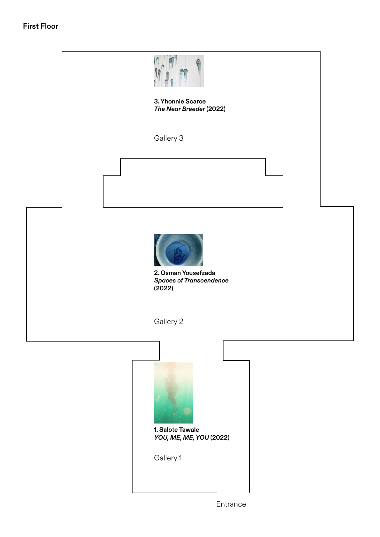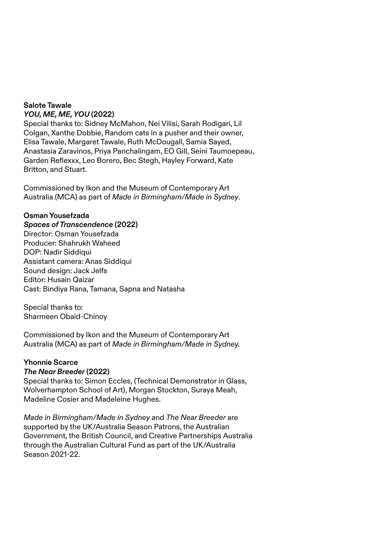#### **Salote Tawale**  *YOU, ME, ME, YOU* **(2022)**

Special thanks to: Sidney McMahon, Nei Vilisi, Sarah Rodigari, Lil Colgan, Xanthe Dobbie, Random cats in a pusher and their owner, Elisa Tawale, Margaret Tawale, Ruth McDougall, Samia Sayed, Anastasia Zaravinos, Priya Panchalingam, EO Gill, Seini Taumoepeau, Garden Reflexxx, Leo Borero, Bec Stegh, Hayley Forward, Kate Britton, and Stuart.

Commissioned by Ikon and the Museum of Contemporary Art Australia (MCA) as part of *Made in Birmingham/Made in Sydney*.

#### **Osman Yousefzada**

#### *Spaces of Transcendence* **(2022)**

Director: Osman Yousefzada Producer: Shahrukh Waheed DOP: Nadir Siddiqui Assistant camera: Anas Siddiqui Sound design: Jack Jelfs Editor: Husain Qaizar Cast: Bindiya Rana, Tamana, Sapna and Natasha

Special thanks to: Sharmeen Obaid-Chinoy

Commissioned by Ikon and the Museum of Contemporary Art Australia (MCA) as part of *Made in Birmingham/Made in Sydney.*

#### **Yhonnie Scarce**

#### *The Near Breeder* **(2022)**

Special thanks to: Simon Eccles, (Technical Demonstrator in Glass, Wolverhampton School of Art), Morgan Stockton, Suraya Meah, Madeline Cosier and Madeleine Hughes.

*Made in Birmingham/Made in Sydney a*nd *The Near Breeder* are supported by the UK/Australia Season Patrons, the Australian Government, the British Council, and Creative Partnerships Australia through the Australian Cultural Fund as part of the UK/Australia Season 2021-22.